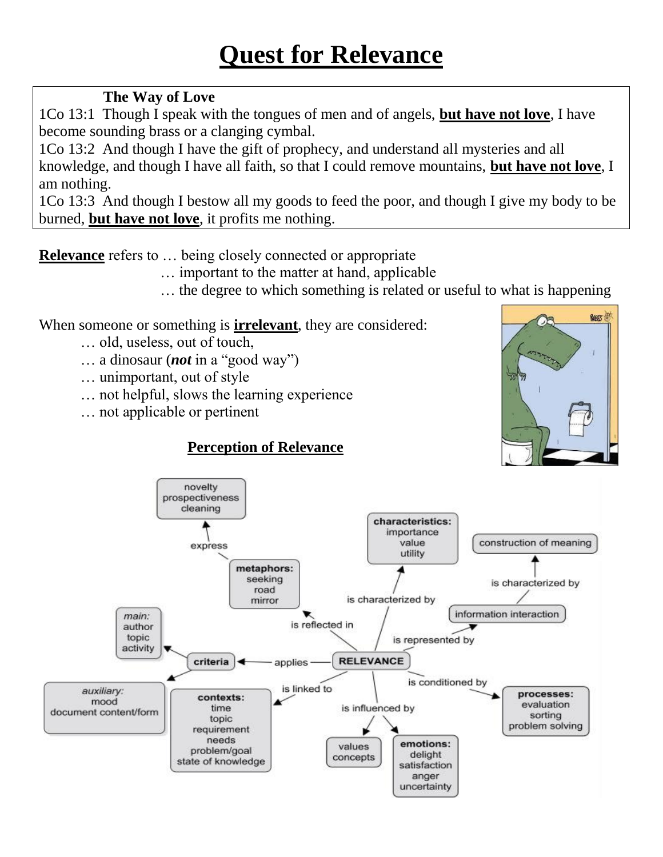#### **The Way of Love**

1Co 13:1 Though I speak with the tongues of men and of angels, **but have not love**, I have become sounding brass or a clanging cymbal.

1Co 13:2 And though I have the gift of prophecy, and understand all mysteries and all knowledge, and though I have all faith, so that I could remove mountains, **but have not love**, I am nothing.

1Co 13:3 And though I bestow all my goods to feed the poor, and though I give my body to be burned, **but have not love**, it profits me nothing.

**Relevance** refers to … being closely connected or appropriate

- … important to the matter at hand, applicable
- … the degree to which something is related or useful to what is happening

When someone or something is **irrelevant**, they are considered:

- … old, useless, out of touch,
- ... a dinosaur (*not* in a "good way")
- … unimportant, out of style
- … not helpful, slows the learning experience
- … not applicable or pertinent

## **Perception of Relevance**



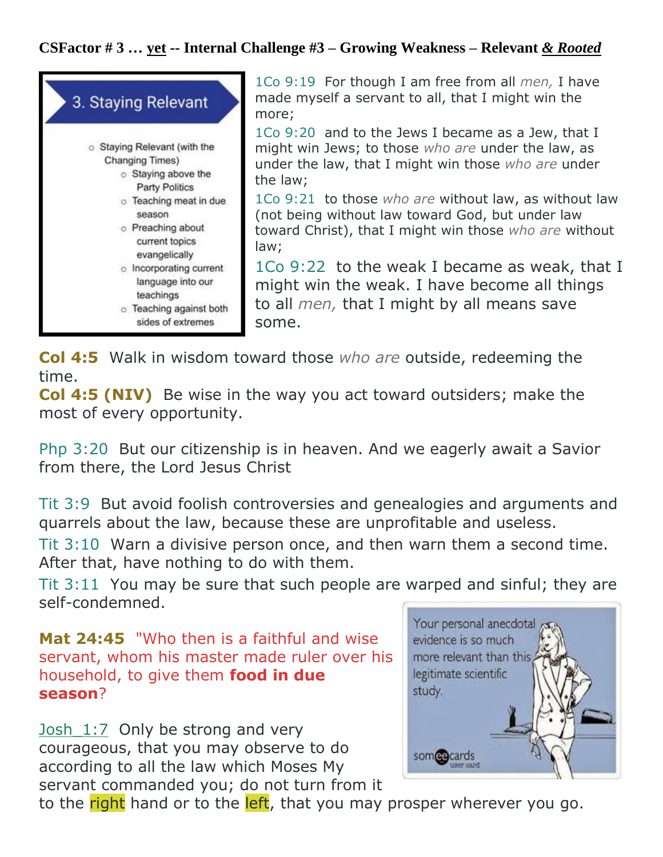#### **CSFactor # 3 … yet -- Internal Challenge #3 – Growing Weakness – Relevant** *& Rooted*



1Co 9:19 For though I am free from all *men,* I have made myself a servant to all, that I might win the more;

1Co 9:20 and to the Jews I became as a Jew, that I might win Jews; to those *who are* under the law, as under the law, that I might win those *who are* under the law;

1Co 9:21 to those *who are* without law, as without law (not being without law toward God, but under law toward Christ), that I might win those *who are* without law;

1Co 9:22 to the weak I became as weak, that I might win the weak. I have become all things to all *men,* that I might by all means save some.

**Col 4:5** Walk in wisdom toward those *who are* outside, redeeming the time.

**Col 4:5 (NIV)** Be wise in the way you act toward outsiders; make the most of every opportunity.

Php 3:20 But our citizenship is in heaven. And we eagerly await a Savior from there, the Lord Jesus Christ

Tit 3:9 But avoid foolish controversies and genealogies and arguments and quarrels about the law, because these are unprofitable and useless.

Tit 3:10 Warn a divisive person once, and then warn them a second time. After that, have nothing to do with them.

Tit 3:11 You may be sure that such people are warped and sinful; they are self-condemned.

```
Mat 24:45 "Who then is a faithful and wise 
servant, whom his master made ruler over his 
household, to give them food in due 
season?
```
Josh  $1:7$  Only be strong and very courageous, that you may observe to do according to all the law which Moses My servant commanded you; do not turn from it



to the right hand or to the left, that you may prosper wherever you go.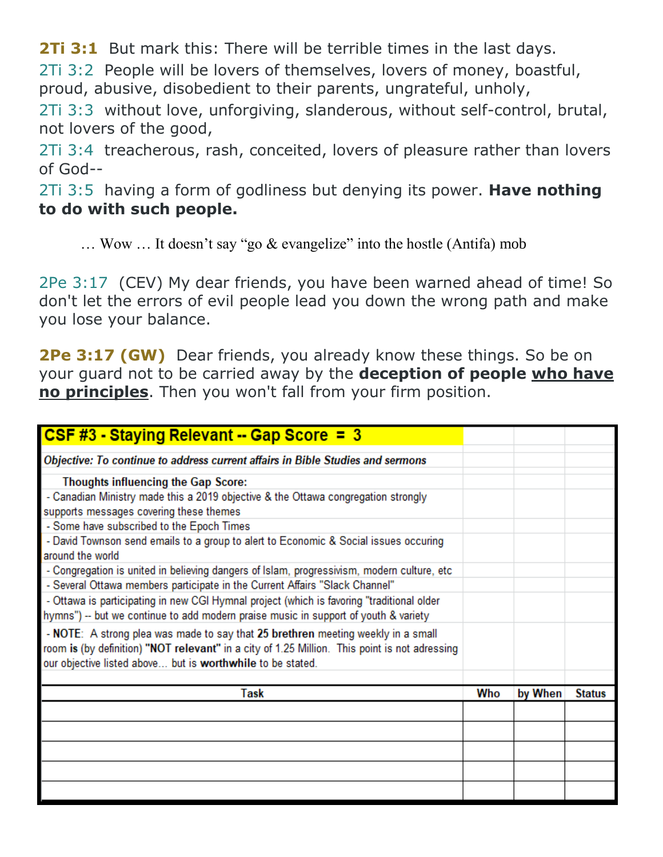**2Ti 3:1** But mark this: There will be terrible times in the last days.

2Ti 3:2 People will be lovers of themselves, lovers of money, boastful, proud, abusive, disobedient to their parents, ungrateful, unholy,

2Ti 3:3 without love, unforgiving, slanderous, without self-control, brutal, not lovers of the good,

2Ti 3:4 treacherous, rash, conceited, lovers of pleasure rather than lovers of God--

2Ti 3:5 having a form of godliness but denying its power. **Have nothing to do with such people.**

 $\ldots$  Wow  $\ldots$  It doesn't say "go & evangelize" into the hostle (Antifa) mob

2Pe 3:17 (CEV) My dear friends, you have been warned ahead of time! So don't let the errors of evil people lead you down the wrong path and make you lose your balance.

**2Pe 3:17 (GW)** Dear friends, you already know these things. So be on your guard not to be carried away by the **deception of people who have no principles**. Then you won't fall from your firm position.

| CSF #3 - Staying Relevant -- Gap Score = $3$                                                                                                                                                                                                    |     |         |               |
|-------------------------------------------------------------------------------------------------------------------------------------------------------------------------------------------------------------------------------------------------|-----|---------|---------------|
| Objective: To continue to address current affairs in Bible Studies and sermons                                                                                                                                                                  |     |         |               |
| <b>Thoughts influencing the Gap Score:</b>                                                                                                                                                                                                      |     |         |               |
| - Canadian Ministry made this a 2019 objective & the Ottawa congregation strongly<br>supports messages covering these themes                                                                                                                    |     |         |               |
| - Some have subscribed to the Epoch Times                                                                                                                                                                                                       |     |         |               |
| - David Townson send emails to a group to alert to Economic & Social issues occuring<br>around the world                                                                                                                                        |     |         |               |
| - Congregation is united in believing dangers of Islam, progressivism, modern culture, etc.                                                                                                                                                     |     |         |               |
| - Several Ottawa members participate in the Current Affairs "Slack Channel"                                                                                                                                                                     |     |         |               |
| - Ottawa is participating in new CGI Hymnal project (which is favoring "traditional older<br>hymns") -- but we continue to add modern praise music in support of youth & variety                                                                |     |         |               |
| - NOTE: A strong plea was made to say that 25 brethren meeting weekly in a small<br>room is (by definition) "NOT relevant" in a city of 1.25 Million. This point is not adressing<br>our objective listed above but is worthwhile to be stated. |     |         |               |
| <b>Task</b>                                                                                                                                                                                                                                     | Who | by When | <b>Status</b> |
|                                                                                                                                                                                                                                                 |     |         |               |
|                                                                                                                                                                                                                                                 |     |         |               |
|                                                                                                                                                                                                                                                 |     |         |               |
|                                                                                                                                                                                                                                                 |     |         |               |
|                                                                                                                                                                                                                                                 |     |         |               |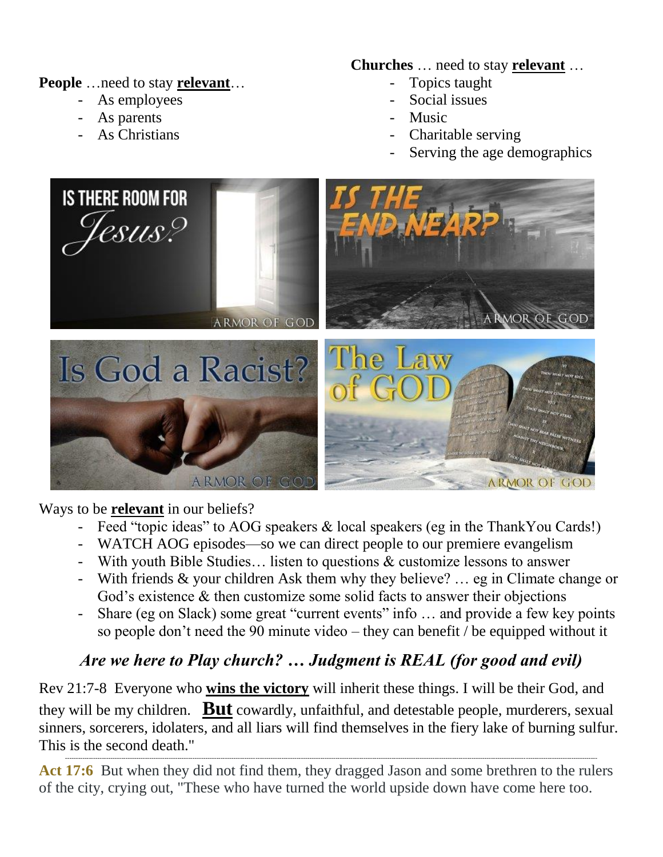**People** …need to stay **relevant**…

- As employees
- As parents
- As Christians

**Churches** … need to stay **relevant** …

- Topics taught
- Social issues
- Music
- Charitable serving
- Serving the age demographics



Ways to be **relevant** in our beliefs?

- Feed "topic ideas" to AOG speakers & local speakers (eg in the ThankYou Cards!)
- WATCH AOG episodes—so we can direct people to our premiere evangelism
- With youth Bible Studies… listen to questions & customize lessons to answer
- With friends & your children Ask them why they believe? … eg in Climate change or God's existence & then customize some solid facts to answer their objections
- Share (eg on Slack) some great "current events" info ... and provide a few key points so people don't need the 90 minute video – they can benefit / be equipped without it

## *Are we here to Play church? … Judgment is REAL (for good and evil)*

Rev 21:7-8 Everyone who **wins the victory** will inherit these things. I will be their God, and they will be my children. **But** cowardly, unfaithful, and detestable people, murderers, sexual sinners, sorcerers, idolaters, and all liars will find themselves in the fiery lake of burning sulfur. This is the second death."

------------------------------------------------------------------------------------------------------------------------------------------------------------------------------------------------------------------------------------------------------ Act 17:6 But when they did not find them, they dragged Jason and some brethren to the rulers of the city, crying out, "These who have turned the world upside down have come here too.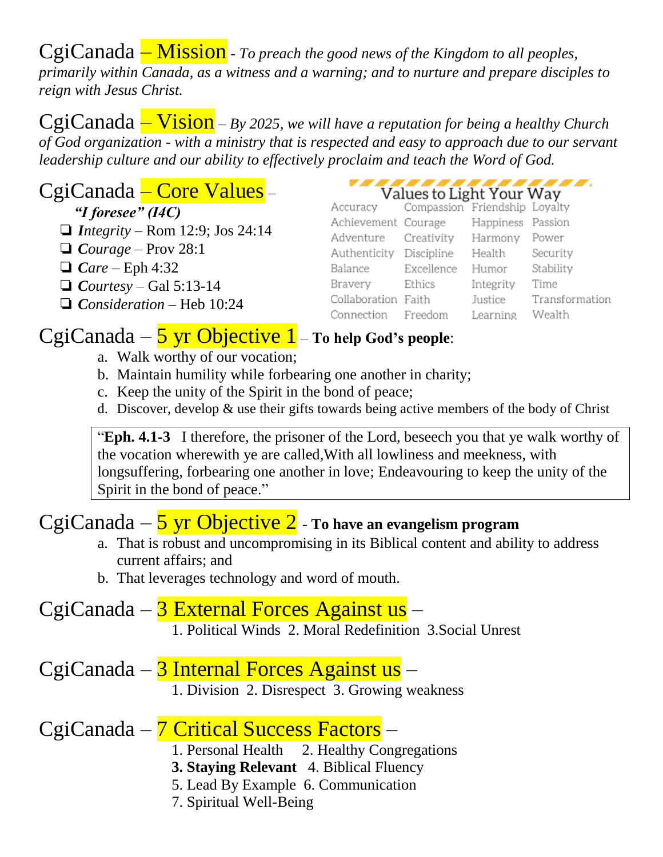CgiCanada – Mission - *To preach the good news of the Kingdom to all peoples, primarily within Canada, as a witness and a warning; and to nurture and prepare disciples to reign with Jesus Christ.*

CgiCanada – Vision – *By 2025, we will have a reputation for being a healthy Church of God organization - with a ministry that is respected and easy to approach due to our servant leadership culture and our ability to effectively proclaim and teach the Word of God.*

## CgiCanada – Core Values –

 *"I foresee" (I4C)*

- ❏ *Integrity* Rom 12:9; Jos 24:14
- ❏ *Courage* Prov 28:1
- ❏ *Care* Eph 4:32
- ❏ *Courtesy* Gal 5:13-14
- ❏ *Consideration* Heb 10:24

| Values to Light Your Way |  |  |
|--------------------------|--|--|

| Accuracy Compassion Friendship Loyalty |            |                   |                |
|----------------------------------------|------------|-------------------|----------------|
| Achievement Courage                    |            | Happiness Passion |                |
| Adventure Creativity                   |            | Harmony Power     |                |
| Authenticity Discipline                |            | Health            | Security       |
| Balance                                | Excellence | Humor             | Stability      |
| Bravery                                | Ethics     | Integrity         | Time           |
| Collaboration Faith                    |            | Justice           | Transformation |
| Connection Freedom                     |            | Learning          | Wealth         |
|                                        |            |                   |                |

## CgiCanada – 5 yr Objective 1 – **To help God's people**:

- a. Walk worthy of our vocation;
- b. Maintain humility while forbearing one another in charity;
- c. Keep the unity of the Spirit in the bond of peace;
- d. Discover, develop & use their gifts towards being active members of the body of Christ

**Eph. 4.1-3** I therefore, the prisoner of the Lord, beseech you that ye walk worthy of the vocation wherewith ye are called,With all lowliness and meekness, with longsuffering, forbearing one another in love; Endeavouring to keep the unity of the Spirit in the bond of peace."

# CgiCanada – 5 yr Objective 2 - **To have an evangelism program**

- a. That is robust and uncompromising in its Biblical content and ability to address current affairs; and
- b. That leverages technology and word of mouth.

#### CgiCanada – 3 External Forces Against us – 1. Political Winds 2. Moral Redefinition 3.Social Unrest

CgiCanada – 3 Internal Forces Against us –

1. Division 2. Disrespect 3. Growing weakness

## CgiCanada – 7 Critical Success Factors –

- 1. Personal Health 2. Healthy Congregations
- **3. Staying Relevant** 4. Biblical Fluency
- 5. Lead By Example 6. Communication
- 7. Spiritual Well-Being